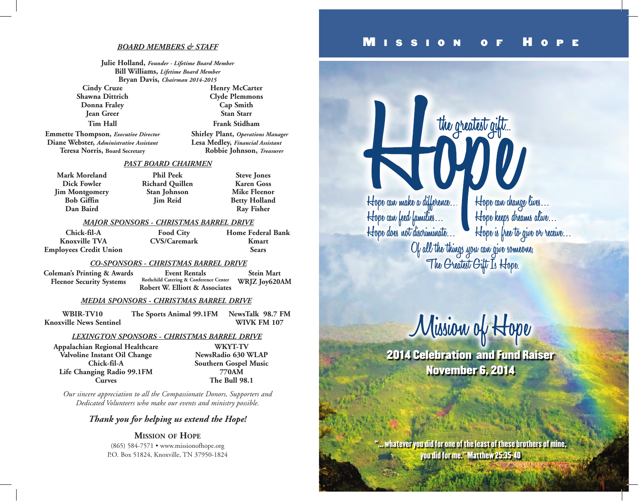# *BOARD MEMBERS & STAFF*

**Julie Holland,** *Founder - Lifetime Board Member* **Bill Williams,** *Lifetime Board Member* **Bryan Davis,** *Chairman 2014-2015*

**Donna Fraley Cap Smith**

**Emmette Thompson,** *Executive Director* **Shirley Plant,** *Operations Manager* **Diane Webster,** *Administrative Assistant* **Lesa Medley,** *Financial Assistant* **Teresa Norris, Board Secretary Robbie Johnson,** *Treasurer*

**Cindy Cruze Henry McCarter Shawna Dittrich Clyde Plemmons Jean Greer Stan Starr Tim Hall Frank Stidham**

*PAST BOARD CHAIRMEN*

**Mark Moreland Dick Fowler Jim Montgomery Bob Giffin Dan Baird**

**Phil Peek Richard Quillen Stan Johnson Jim Reid**

**Steve Jones Karen Goss Mike Fleenor Betty Holland Ray Fisher**

### *MAJOR SPONSORS - CHRISTMAS BARREL DRIVE*

**Chick-fil-A Knoxville TVA Employees Credit Union**

**Food City CVS/Caremark** **Home Federal Bank Kmart Sears**

## *CO-SPONSORS - CHRISTMAS BARREL DRIVE*

**Coleman's Printing & Awards Fleenor Security Systems Event Rentals Rothchild Catering & Conference Center Robert W. Elliott & Associates Stein Mart WRJZ Joy620AM**

# *MEDIA SPONSORS - CHRISTMAS BARREL DRIVE*

**WBIR-TV10 Knoxville News Sentinel The Sports Animal 99.1FM NewsTalk 98.7 FM WIVK FM 107**

**Appalachian Regional Healthcare Valvoline Instant Oil Change Chick-fil-A Life Changing Radio 99.1FM Curves**

**WKYT-TV NewsRadio 630 WLAP Southern Gospel Music 770AM The Bull 98.1**

*Our sincere appreciation to all the Compassionate Donors, Supporters and Dedicated Volunteers who make our events and ministry possible.*

# *Thank you for helping us extend the Hope!*

# **Mission of Hope**

(865) 584-7571 • www.missionofhope.org P.O. Box 51824, Knoxville, TN 37950-1824

# $S S I 0$

the greatest gift.

**Hope can make a difference… Hope can change lives… Hope can feed families… Hope keeps dreams alive…**

Hope is free to give or receive… **Of all the things you can give someone, The Greatest Gift Is Hope.**

*LEXINGTON SPONSORS - CHRISTMAS BARREL DRIVE* 

2014 Celebration and Fund Raiser November 6, 2014

. whatever you did for one of the least of these brothers of mine, you did for me." Matthew 25:35-40